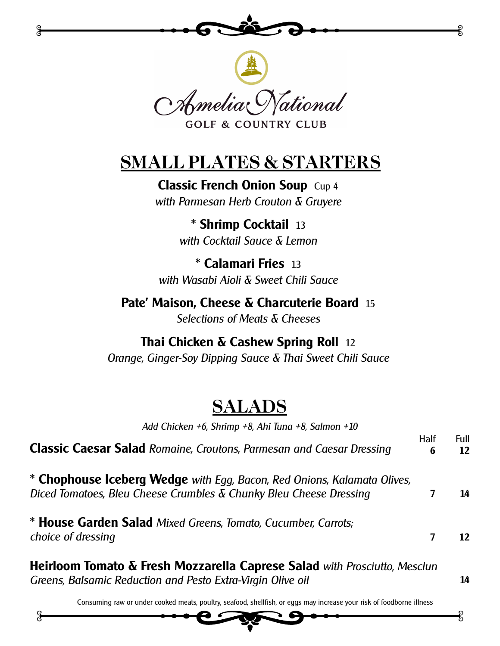

Amelia tational **GOLF & COUNTRY CLUB** 

# **SMALL PLATES & STARTERS**

**Classic French Onion Soup** Cup 4 *with Parmesan Herb Crouton & Gruyere*

> **\* Shrimp Cocktail** 13 *with Cocktail Sauce & Lemon*

**\* Calamari Fries** 13 *with Wasabi Aioli & Sweet Chili Sauce*

**Pate' Maison, Cheese & Charcuterie Board** 15 *Selections of Meats & Cheeses*

# **Thai Chicken & Cashew Spring Roll** 12

*Orange, Ginger-Soy Dipping Sauce & Thai Sweet Chili Sauce*

# **SALADS**

| Add Chicken +6, Shrimp +8, Ahi Tuna +8, Salmon +10                                                                                                   |                  |                 |
|------------------------------------------------------------------------------------------------------------------------------------------------------|------------------|-----------------|
| <b>Classic Caesar Salad</b> Romaine, Croutons, Parmesan and Caesar Dressing                                                                          | <b>Half</b><br>6 | Full<br>12      |
| * Chophouse Iceberg Wedge with Egg, Bacon, Red Onions, Kalamata Olives,<br>Diced Tomatoes, Bleu Cheese Crumbles $\delta$ Chunky Bleu Cheese Dressing |                  | 14              |
| * House Garden Salad Mixed Greens, Tomato, Cucumber, Carrots;<br>choice of dressing                                                                  | 7                | $12 \ \mathrm{$ |
| <b>Heirloom Tomato &amp; Fresh Mozzarella Caprese Salad</b> with Prosciutto, Mesclun                                                                 |                  |                 |

*Greens, Balsamic Reduction and Pesto Extra-Virgin Olive oil* **14**

Consuming raw or under cooked meats, poultry, seafood, shellfish, or eggs may increase your risk of foodborne illness

g

G